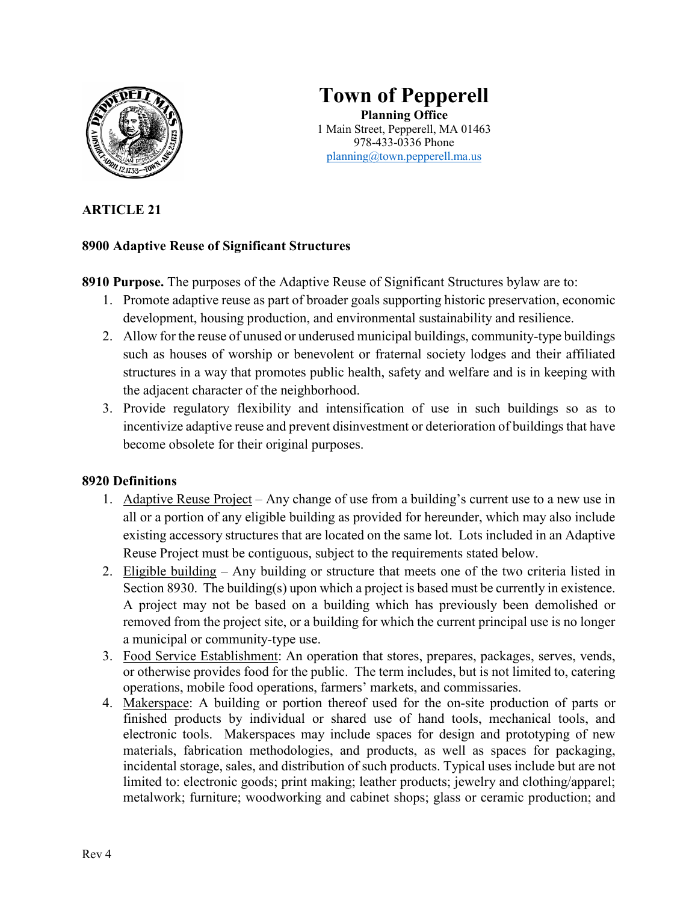

# **Town of Pepperell Planning Office** 1 Main Street, Pepperell, MA 01463 978-433-0336 Phone planning@town.pepperell.ma.us

# **ARTICLE 21**

### **8900 Adaptive Reuse of Significant Structures**

**8910 Purpose.** The purposes of the Adaptive Reuse of Significant Structures bylaw are to:

- 1. Promote adaptive reuse as part of broader goals supporting historic preservation, economic development, housing production, and environmental sustainability and resilience.
- 2. Allow for the reuse of unused or underused municipal buildings, community-type buildings such as houses of worship or benevolent or fraternal society lodges and their affiliated structures in a way that promotes public health, safety and welfare and is in keeping with the adjacent character of the neighborhood.
- 3. Provide regulatory flexibility and intensification of use in such buildings so as to incentivize adaptive reuse and prevent disinvestment or deterioration of buildings that have become obsolete for their original purposes.

### **8920 Definitions**

- 1. Adaptive Reuse Project Any change of use from a building's current use to a new use in all or a portion of any eligible building as provided for hereunder, which may also include existing accessory structures that are located on the same lot. Lots included in an Adaptive Reuse Project must be contiguous, subject to the requirements stated below.
- 2. Eligible building Any building or structure that meets one of the two criteria listed in Section 8930. The building(s) upon which a project is based must be currently in existence. A project may not be based on a building which has previously been demolished or removed from the project site, or a building for which the current principal use is no longer a municipal or community-type use.
- 3. Food Service Establishment: An operation that stores, prepares, packages, serves, vends, or otherwise provides food for the public. The term includes, but is not limited to, catering operations, mobile food operations, farmers' markets, and commissaries.
- 4. Makerspace: A building or portion thereof used for the on-site production of parts or finished products by individual or shared use of hand tools, mechanical tools, and electronic tools. Makerspaces may include spaces for design and prototyping of new materials, fabrication methodologies, and products, as well as spaces for packaging, incidental storage, sales, and distribution of such products. Typical uses include but are not limited to: electronic goods; print making; leather products; jewelry and clothing/apparel; metalwork; furniture; woodworking and cabinet shops; glass or ceramic production; and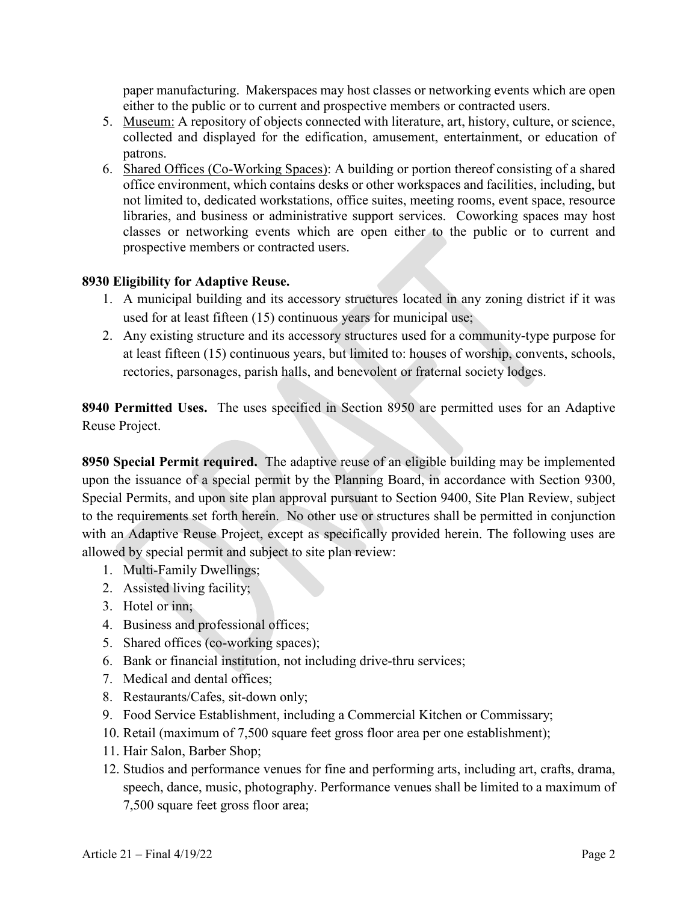paper manufacturing. Makerspaces may host classes or networking events which are open either to the public or to current and prospective members or contracted users.

- 5. Museum: A repository of objects connected with literature, art, history, culture, or science, collected and displayed for the edification, amusement, entertainment, or education of patrons.
- 6. Shared Offices (Co-Working Spaces): A building or portion thereof consisting of a shared office environment, which contains desks or other workspaces and facilities, including, but not limited to, dedicated workstations, office suites, meeting rooms, event space, resource libraries, and business or administrative support services. Coworking spaces may host classes or networking events which are open either to the public or to current and prospective members or contracted users.

#### **8930 Eligibility for Adaptive Reuse.**

- 1. A municipal building and its accessory structures located in any zoning district if it was used for at least fifteen (15) continuous years for municipal use;
- 2. Any existing structure and its accessory structures used for a community-type purpose for at least fifteen (15) continuous years, but limited to: houses of worship, convents, schools, rectories, parsonages, parish halls, and benevolent or fraternal society lodges.

**8940 Permitted Uses.** The uses specified in Section 8950 are permitted uses for an Adaptive Reuse Project.

**8950 Special Permit required.** The adaptive reuse of an eligible building may be implemented upon the issuance of a special permit by the Planning Board, in accordance with Section 9300, Special Permits, and upon site plan approval pursuant to Section 9400, Site Plan Review, subject to the requirements set forth herein. No other use or structures shall be permitted in conjunction with an Adaptive Reuse Project, except as specifically provided herein. The following uses are allowed by special permit and subject to site plan review:

- 1. Multi-Family Dwellings;
- 2. Assisted living facility;
- 3. Hotel or inn;
- 4. Business and professional offices;
- 5. Shared offices (co-working spaces);
- 6. Bank or financial institution, not including drive-thru services;
- 7. Medical and dental offices;
- 8. Restaurants/Cafes, sit-down only;
- 9. Food Service Establishment, including a Commercial Kitchen or Commissary;
- 10. Retail (maximum of 7,500 square feet gross floor area per one establishment);
- 11. Hair Salon, Barber Shop;
- 12. Studios and performance venues for fine and performing arts, including art, crafts, drama, speech, dance, music, photography. Performance venues shall be limited to a maximum of 7,500 square feet gross floor area;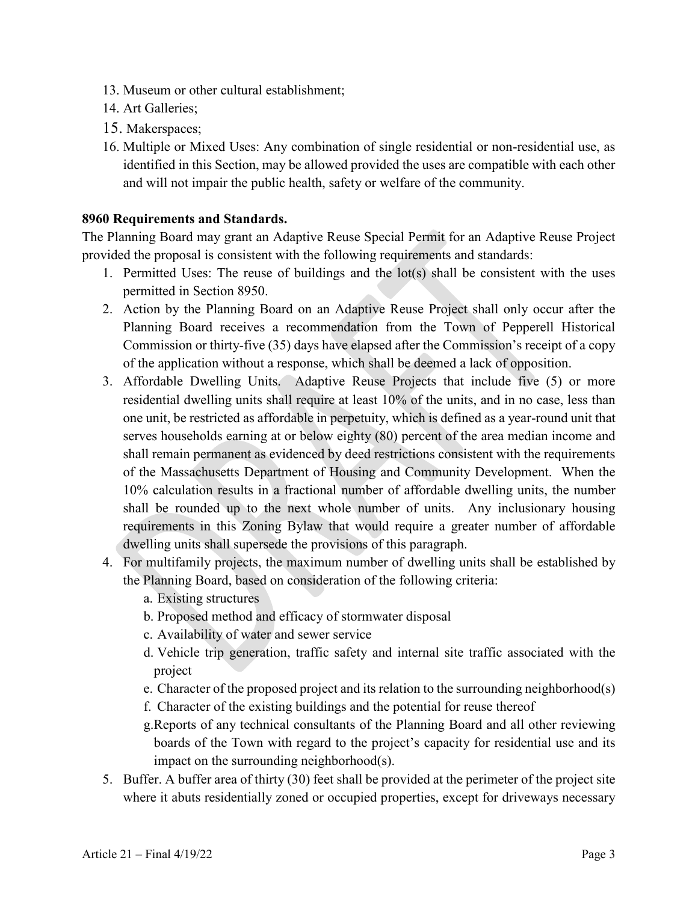- 13. Museum or other cultural establishment;
- 14. Art Galleries;
- 15. Makerspaces;
- 16. Multiple or Mixed Uses: Any combination of single residential or non-residential use, as identified in this Section, may be allowed provided the uses are compatible with each other and will not impair the public health, safety or welfare of the community.

#### **8960 Requirements and Standards.**

The Planning Board may grant an Adaptive Reuse Special Permit for an Adaptive Reuse Project provided the proposal is consistent with the following requirements and standards:

- 1. Permitted Uses: The reuse of buildings and the lot(s) shall be consistent with the uses permitted in Section 8950.
- 2. Action by the Planning Board on an Adaptive Reuse Project shall only occur after the Planning Board receives a recommendation from the Town of Pepperell Historical Commission or thirty-five (35) days have elapsed after the Commission's receipt of a copy of the application without a response, which shall be deemed a lack of opposition.
- 3. Affordable Dwelling Units. Adaptive Reuse Projects that include five (5) or more residential dwelling units shall require at least 10% of the units, and in no case, less than one unit, be restricted as affordable in perpetuity, which is defined as a year-round unit that serves households earning at or below eighty (80) percent of the area median income and shall remain permanent as evidenced by deed restrictions consistent with the requirements of the Massachusetts Department of Housing and Community Development. When the 10% calculation results in a fractional number of affordable dwelling units, the number shall be rounded up to the next whole number of units. Any inclusionary housing requirements in this Zoning Bylaw that would require a greater number of affordable dwelling units shall supersede the provisions of this paragraph.
- 4. For multifamily projects, the maximum number of dwelling units shall be established by the Planning Board, based on consideration of the following criteria:
	- a. Existing structures
	- b. Proposed method and efficacy of stormwater disposal
	- c. Availability of water and sewer service
	- d. Vehicle trip generation, traffic safety and internal site traffic associated with the project
	- e. Character of the proposed project and its relation to the surrounding neighborhood(s)
	- f. Character of the existing buildings and the potential for reuse thereof
	- g.Reports of any technical consultants of the Planning Board and all other reviewing boards of the Town with regard to the project's capacity for residential use and its impact on the surrounding neighborhood(s).
- 5. Buffer. A buffer area of thirty (30) feet shall be provided at the perimeter of the project site where it abuts residentially zoned or occupied properties, except for driveways necessary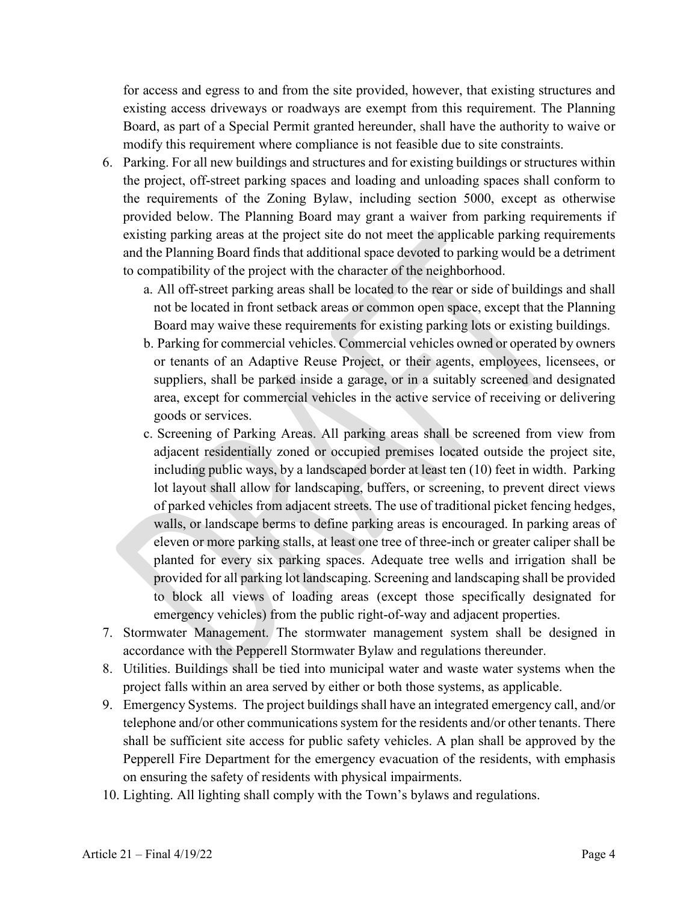for access and egress to and from the site provided, however, that existing structures and existing access driveways or roadways are exempt from this requirement. The Planning Board, as part of a Special Permit granted hereunder, shall have the authority to waive or modify this requirement where compliance is not feasible due to site constraints.

- 6. Parking. For all new buildings and structures and for existing buildings or structures within the project, off-street parking spaces and loading and unloading spaces shall conform to the requirements of the Zoning Bylaw, including section 5000, except as otherwise provided below. The Planning Board may grant a waiver from parking requirements if existing parking areas at the project site do not meet the applicable parking requirements and the Planning Board finds that additional space devoted to parking would be a detriment to compatibility of the project with the character of the neighborhood.
	- a. All off-street parking areas shall be located to the rear or side of buildings and shall not be located in front setback areas or common open space, except that the Planning Board may waive these requirements for existing parking lots or existing buildings.
	- b. Parking for commercial vehicles. Commercial vehicles owned or operated by owners or tenants of an Adaptive Reuse Project, or their agents, employees, licensees, or suppliers, shall be parked inside a garage, or in a suitably screened and designated area, except for commercial vehicles in the active service of receiving or delivering goods or services.
	- c. Screening of Parking Areas. All parking areas shall be screened from view from adjacent residentially zoned or occupied premises located outside the project site, including public ways, by a landscaped border at least ten (10) feet in width. Parking lot layout shall allow for landscaping, buffers, or screening, to prevent direct views of parked vehicles from adjacent streets. The use of traditional picket fencing hedges, walls, or landscape berms to define parking areas is encouraged. In parking areas of eleven or more parking stalls, at least one tree of three-inch or greater caliper shall be planted for every six parking spaces. Adequate tree wells and irrigation shall be provided for all parking lot landscaping. Screening and landscaping shall be provided to block all views of loading areas (except those specifically designated for emergency vehicles) from the public right-of-way and adjacent properties.
- 7. Stormwater Management. The stormwater management system shall be designed in accordance with the Pepperell Stormwater Bylaw and regulations thereunder.
- 8. Utilities. Buildings shall be tied into municipal water and waste water systems when the project falls within an area served by either or both those systems, as applicable.
- 9. Emergency Systems. The project buildings shall have an integrated emergency call, and/or telephone and/or other communications system for the residents and/or other tenants. There shall be sufficient site access for public safety vehicles. A plan shall be approved by the Pepperell Fire Department for the emergency evacuation of the residents, with emphasis on ensuring the safety of residents with physical impairments.
- 10. Lighting. All lighting shall comply with the Town's bylaws and regulations.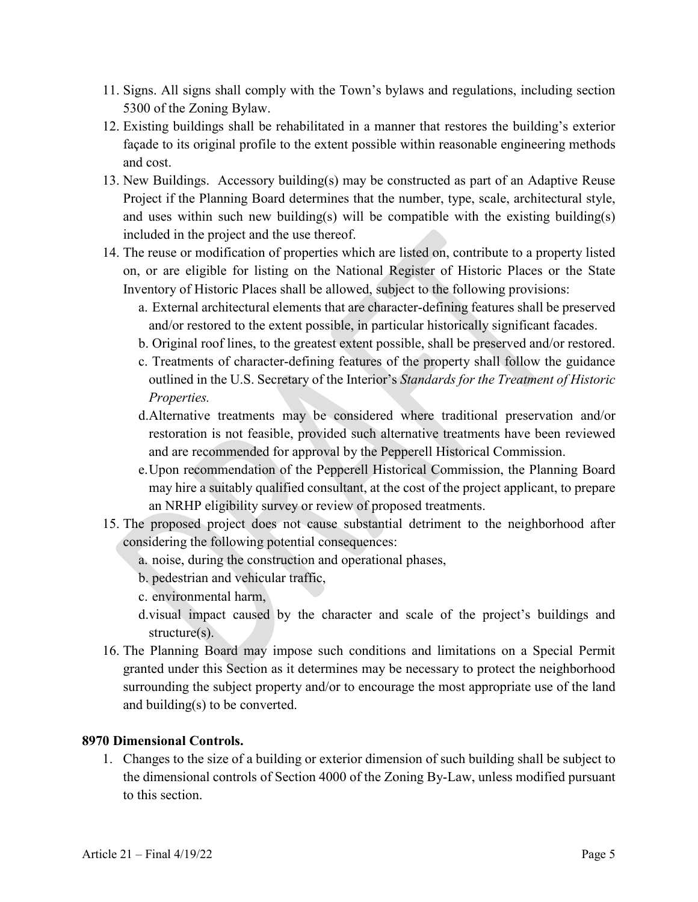- 11. Signs. All signs shall comply with the Town's bylaws and regulations, including section 5300 of the Zoning Bylaw.
- 12. Existing buildings shall be rehabilitated in a manner that restores the building's exterior façade to its original profile to the extent possible within reasonable engineering methods and cost.
- 13. New Buildings. Accessory building(s) may be constructed as part of an Adaptive Reuse Project if the Planning Board determines that the number, type, scale, architectural style, and uses within such new building(s) will be compatible with the existing building(s) included in the project and the use thereof.
- 14. The reuse or modification of properties which are listed on, contribute to a property listed on, or are eligible for listing on the National Register of Historic Places or the State Inventory of Historic Places shall be allowed, subject to the following provisions:
	- a. External architectural elements that are character-defining features shall be preserved and/or restored to the extent possible, in particular historically significant facades.
	- b. Original roof lines, to the greatest extent possible, shall be preserved and/or restored.
	- c. Treatments of character-defining features of the property shall follow the guidance outlined in the U.S. Secretary of the Interior's *Standards for the Treatment of Historic Properties.*
	- d.Alternative treatments may be considered where traditional preservation and/or restoration is not feasible, provided such alternative treatments have been reviewed and are recommended for approval by the Pepperell Historical Commission.
	- e.Upon recommendation of the Pepperell Historical Commission, the Planning Board may hire a suitably qualified consultant, at the cost of the project applicant, to prepare an NRHP eligibility survey or review of proposed treatments.
- 15. The proposed project does not cause substantial detriment to the neighborhood after considering the following potential consequences:
	- a. noise, during the construction and operational phases,
	- b. pedestrian and vehicular traffic,
	- c. environmental harm,
	- d.visual impact caused by the character and scale of the project's buildings and structure(s).
- 16. The Planning Board may impose such conditions and limitations on a Special Permit granted under this Section as it determines may be necessary to protect the neighborhood surrounding the subject property and/or to encourage the most appropriate use of the land and building(s) to be converted.

### **8970 Dimensional Controls.**

1. Changes to the size of a building or exterior dimension of such building shall be subject to the dimensional controls of Section 4000 of the Zoning By-Law, unless modified pursuant to this section.